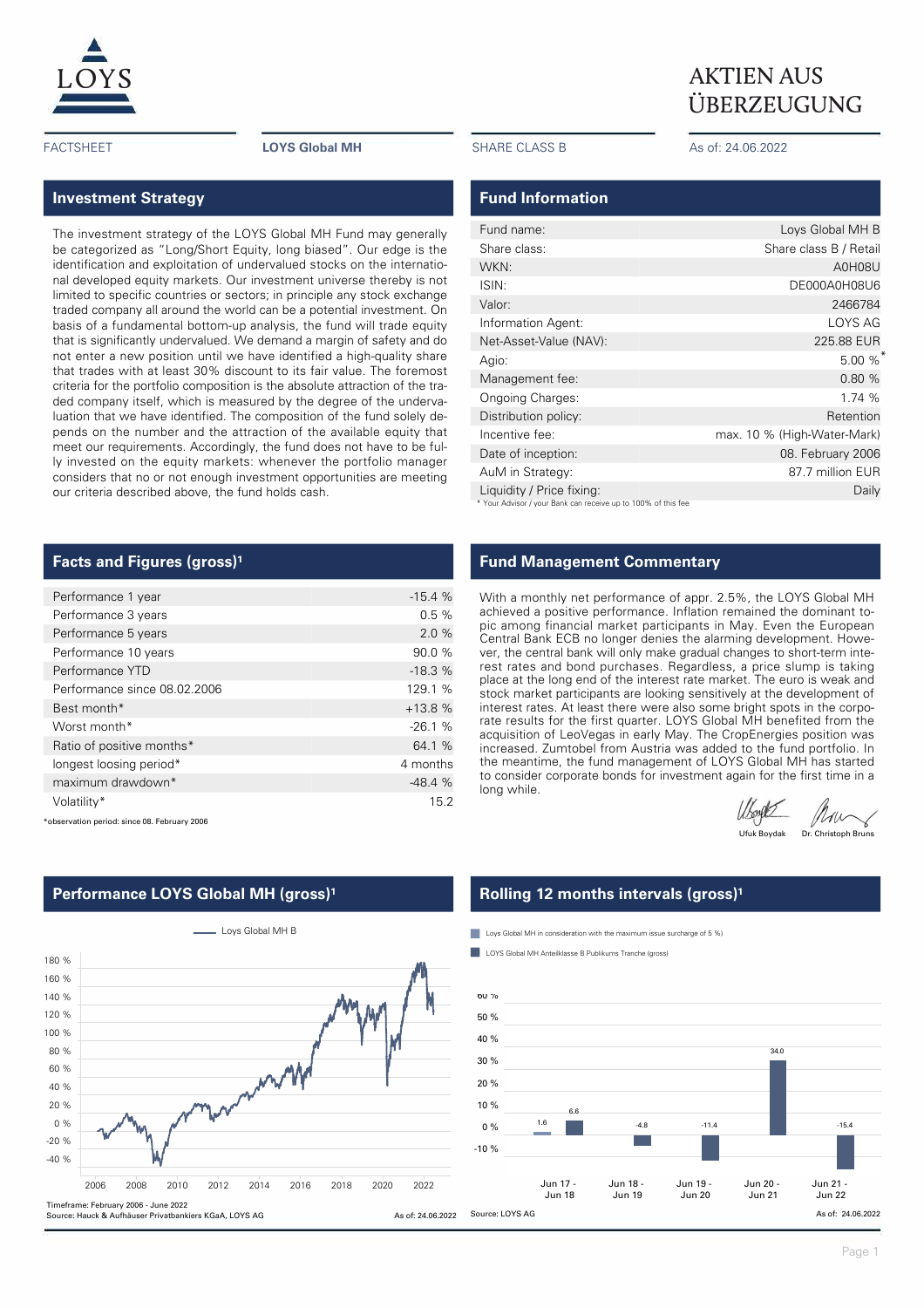

# **Investment Strategy**

The investment strategy of the LOYS Global MH Fund may generally be categorized as "Long/Short Equity, long biased". Our edge is the identification and exploitation of undervalued stocks on the international developed equity markets. Our investment universe thereby is not limited to specific countries or sectors; in principle any stock exchange traded company all around the world can be a potential investment. On basis of a fundamental bottom-up analysis, the fund will trade equity that is significantly undervalued. We demand a margin of safety and do not enter a new position until we have identified a high-quality share that trades with at least 30% discount to its fair value. The foremost criteria for the portfolio composition is the absolute attraction of the traded company itself, which is measured by the degree of the undervaluation that we have identified. The composition of the fund solely depends on the number and the attraction of the available equity that meet our requirements. Accordingly, the fund does not have to be fully invested on the equity markets: whenever the portfolio manager considers that no or not enough investment opportunities are meeting our criteria described above, the fund holds cash.

### **Facts and Figures (gross)<sup>1</sup>**

| Performance 1 year           | $-15.4%$ |
|------------------------------|----------|
| Performance 3 years          | 0.5%     |
| Performance 5 years          | 2.0%     |
| Performance 10 years         | 90.0 %   |
| Performance YTD              | $-18.3%$ |
| Performance since 08.02.2006 | 129.1 %  |
| Best month*                  | $+13.8%$ |
| Worst month*                 | $-26.1%$ |
| Ratio of positive months*    | 64.1 %   |
| longest loosing period*      | 4 months |
| maximum drawdown*            | $-48.4%$ |
| Volatility*                  | 15.2     |

\*observation period: since 08. February 2006

### L Loys Global MH B 180 % 160 % 140 % 120 % 100 % 80 % mmm 60 % 40 % 20 %  $0<sup>0</sup>$ -20 % -40 % 2006 2008 2010 2012 2014 2016 2018 2020 2022 Timeframe: February 2006 - June 2022 Source: Hauck & Aufhäuser Privatbankiers KGaA, LOYS AG Assetzer and Assetzer and Assetzer and Assetzer and Ass<br>Source: Hauck & Aufhäuser Privatbankiers KGaA, LOYS AG

# **Performance LOYS Global MH (gross)<sup>1</sup>**

FACTSHEET **LOYS Global MH** SHARE CLASS B As of: 24.06.2022

ÜBERZEUGUNG

### **Fund Information**

| Fund name:                                                    | Loys Global MH B            |
|---------------------------------------------------------------|-----------------------------|
| Share class:                                                  | Share class B / Retail      |
| WKN:                                                          | A0H08U                      |
| ISIN:                                                         | DE000A0H08U6                |
| Valor:                                                        | 2466784                     |
| Information Agent:                                            | LOYS AG                     |
| Net-Asset-Value (NAV):                                        | 225.88 EUR                  |
| Agio:                                                         | $5.00 \%$                   |
| Management fee:                                               | 0.80 %                      |
| <b>Ongoing Charges:</b>                                       | 1.74 %                      |
| Distribution policy:                                          | Retention                   |
| Incentive fee:                                                | max. 10 % (High-Water-Mark) |
| Date of inception:                                            | 08. February 2006           |
| AuM in Strategy:                                              | 87.7 million EUR            |
| Liquidity / Price fixing:                                     | Daily                       |
| * Your Advisor / your Bank can receive up to 100% of this fee |                             |

### **Fund Management Commentary**

With a monthly net performance of appr. 2.5%, the LOYS Global MH achieved a positive performance. Inflation remained the dominant topic among financial market participants in May. Even the European Central Bank ECB no longer denies the alarming development. However, the central bank will only make gradual changes to short-term interest rates and bond purchases. Regardless, a price slump is taking place at the long end of the interest rate market. The euro is weak and stock market participants are looking sensitively at the development of interest rates. At least there were also some bright spots in the corporate results for the first quarter. LOYS Global MH benefited from the acquisition of LeoVegas in early May. The CropEnergies position was increased. Zumtobel from Austria was added to the fund portfolio. In the meantime, the fund management of LOYS Global MH has started to consider corporate bonds for investment again for the first time in a long while.

Mou Dr. Christoph Bruns

## **Rolling 12 months intervals (gross)<sup>1</sup>**

**Loys Global MH** in consideration with the maximum issue surcharge of 5 %)

LOYS Global MH Anteilklasse B Publikums Tranche (gross)



Page 1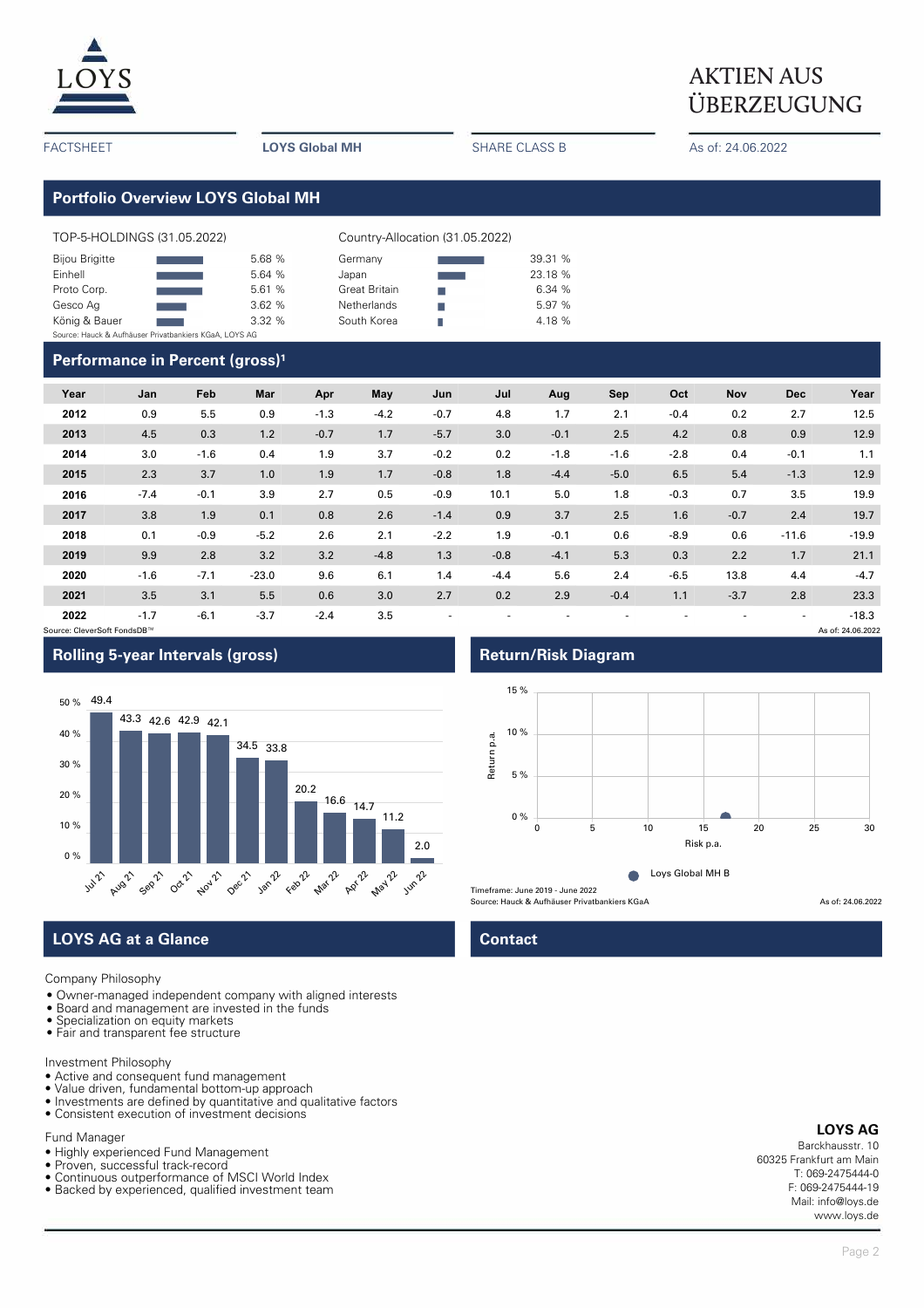

# $\underline{LOYS}$  AKTIEN AUS ÜBERZEUGUNG

**Portfolio Overview LOYS Global MH**

| TOP-5-HOLDINGS (31.05.2022)                            |        | Country-Allocation (31.05.2022) |  |         |  |  |
|--------------------------------------------------------|--------|---------------------------------|--|---------|--|--|
| <b>Bijou Brigitte</b>                                  | 5.68 % | Germany                         |  | 39.31 % |  |  |
| Einhell                                                | 5.64 % | Japan                           |  | 23.18 % |  |  |
| Proto Corp.                                            | 5.61 % | Great Britain                   |  | 6.34 %  |  |  |
| Gesco Ag                                               | 3.62%  | <b>Netherlands</b>              |  | 5.97%   |  |  |
| König & Bauer                                          | 3.32%  | South Korea                     |  | 4.18 %  |  |  |
| Source: Hauck & Aufhäuser Privatbankiers KGaA, LOYS AG |        |                                 |  |         |  |  |

FACTSHEET **LOYS Global MH** SHARE CLASS B As of: 24.06.2022

# **Performance in Percent (gross)<sup>1</sup>**

| Year | Jan    | Feb    | Mar     | Apr    | May    | Jun    | Jul    | Aug    | Sep    | Oct    | Nov    | <b>Dec</b> | Year    |
|------|--------|--------|---------|--------|--------|--------|--------|--------|--------|--------|--------|------------|---------|
| 2012 | 0.9    | 5.5    | 0.9     | $-1.3$ | $-4.2$ | $-0.7$ | 4.8    | 1.7    | 2.1    | $-0.4$ | 0.2    | 2.7        | 12.5    |
| 2013 | 4.5    | 0.3    | 1.2     | $-0.7$ | 1.7    | $-5.7$ | 3.0    | $-0.1$ | 2.5    | 4.2    | 0.8    | 0.9        | 12.9    |
| 2014 | 3.0    | $-1.6$ | 0.4     | 1.9    | 3.7    | $-0.2$ | 0.2    | $-1.8$ | $-1.6$ | $-2.8$ | 0.4    | $-0.1$     | 1.1     |
| 2015 | 2.3    | 3.7    | 1.0     | 1.9    | 1.7    | $-0.8$ | 1.8    | $-4.4$ | $-5.0$ | 6.5    | 5.4    | $-1.3$     | 12.9    |
| 2016 | $-7.4$ | $-0.1$ | 3.9     | 2.7    | 0.5    | $-0.9$ | 10.1   | 5.0    | 1.8    | $-0.3$ | 0.7    | 3.5        | 19.9    |
| 2017 | 3.8    | 1.9    | 0.1     | 0.8    | 2.6    | $-1.4$ | 0.9    | 3.7    | 2.5    | 1.6    | $-0.7$ | 2.4        | 19.7    |
| 2018 | 0.1    | $-0.9$ | $-5.2$  | 2.6    | 2.1    | $-2.2$ | 1.9    | $-0.1$ | 0.6    | $-8.9$ | 0.6    | $-11.6$    | $-19.9$ |
| 2019 | 9.9    | 2.8    | 3.2     | 3.2    | $-4.8$ | 1.3    | $-0.8$ | $-4.1$ | 5.3    | 0.3    | 2.2    | 1.7        | 21.1    |
| 2020 | $-1.6$ | $-7.1$ | $-23.0$ | 9.6    | 6.1    | 1.4    | $-4.4$ | 5.6    | 2.4    | $-6.5$ | 13.8   | 4.4        | $-4.7$  |
| 2021 | 3.5    | 3.1    | 5.5     | 0.6    | 3.0    | 2.7    | 0.2    | 2.9    | $-0.4$ | 1.1    | $-3.7$ | 2.8        | 23.3    |
| 2022 | $-1.7$ | $-6.1$ | $-3.7$  | $-2.4$ | 3.5    |        |        |        |        |        |        |            | $-18.3$ |

#### Source: CleverSoft FondsDB™ As of: 24.06.2022



Jul 2192 cen de la de la la la la la la la la la la la

# **LOYS AG at a Glance Contact Contact**

Company Philosophy

- Owner-managed independent company with aligned interests
- Board and management are invested in the funds
- Specialization on equity markets • Fair and transparent fee structure
- 

### Investment Philosophy

- Active and consequent fund management
- Value driven, fundamental bottom-up approach
- Investments are defined by quantitative and qualitative factors • Consistent execution of investment decisions
- Fund Manager
- Highly experienced Fund Management
- Proven, successful track-record
- Continuous outperformance of MSCI World Index
- Backed by experienced, qualified investment team



### **LOYS AG**

Barckhausstr. 10 60325 Frankfurt am Main T: 069-2475444-0 F: 069-2475444-19 Mail: info@loys.de www.loys.de